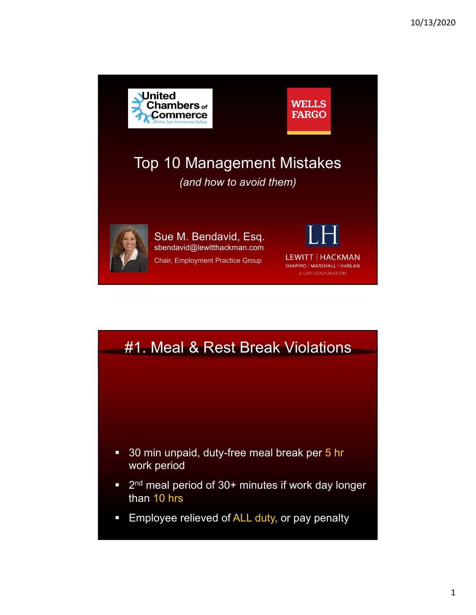



**Employee relieved of ALL duty, or pay penalty**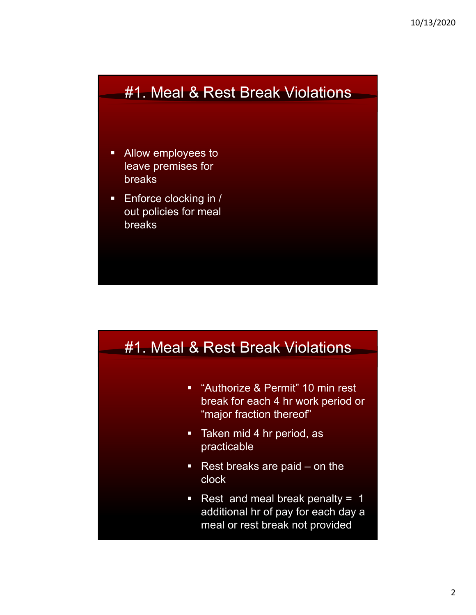### #1. Meal & Rest Break Violations

- **Allow employees to** leave premises for breaks
- **Enforce clocking in /** out policies for meal breaks



- **E** "Authorize & Permit" 10 min rest break for each 4 hr work period or "major fraction thereof"
- **Taken mid 4 hr period, as** practicable
- Rest breaks are paid on the clock
- Rest and meal break penalty =  $1$ additional hr of pay for each day a meal or rest break not provided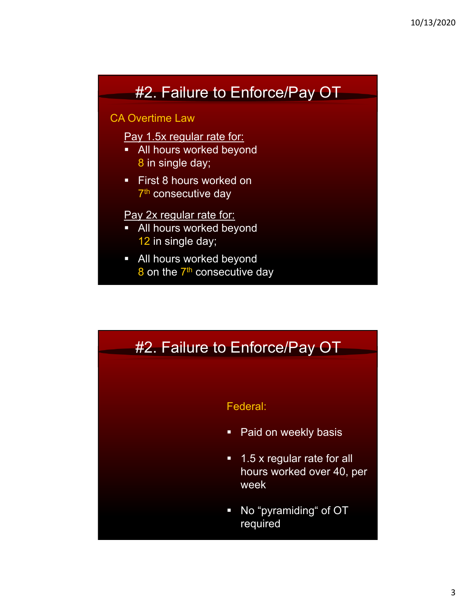## #2. Failure to Enforce/Pay OT

#### CA Overtime Law

Pay 1.5x regular rate for:

- **All hours worked beyond** 8 in single day;
- **First 8 hours worked on** 7<sup>th</sup> consecutive day

#### Pay 2x regular rate for:

- **All hours worked beyond** 12 in single day;
- **All hours worked beyond** 8 on the 7<sup>th</sup> consecutive day

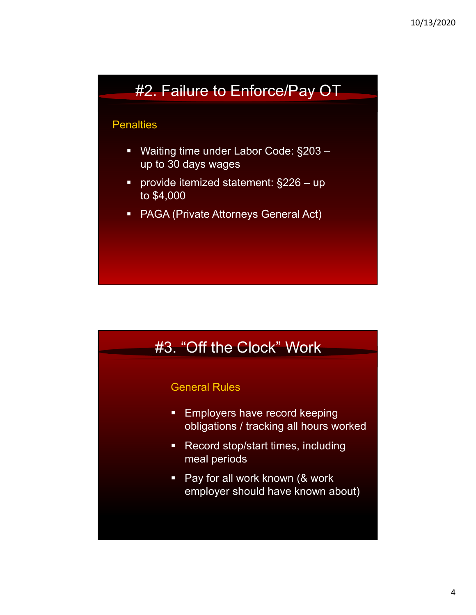### #2. Failure to Enforce/Pay OT

#### **Penalties**

- Waiting time under Labor Code: §203 up to 30 days wages
- provide itemized statement: §226 up to \$4,000
- PAGA (Private Attorneys General Act)



#### General Rules

- **Employers have record keeping** obligations / tracking all hours worked
- **Record stop/start times, including** meal periods
- **Pay for all work known (& work** employer should have known about)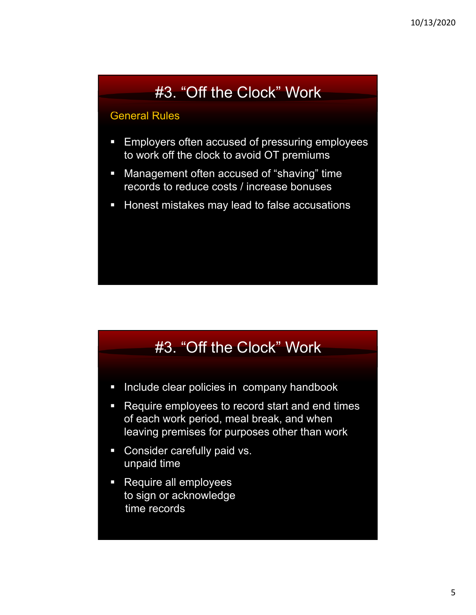# #3. "Off the Clock" Work

#### General Rules

- **Employers often accused of pressuring employees** to work off the clock to avoid OT premiums
- **Management often accused of "shaving" time** records to reduce costs / increase bonuses
- **Honest mistakes may lead to false accusations**

# #3. "Off the Clock" Work

- **Include clear policies in company handbook**
- Require employees to record start and end times of each work period, meal break, and when leaving premises for purposes other than work
- **Consider carefully paid vs.** unpaid time
- **Require all employees** to sign or acknowledge time records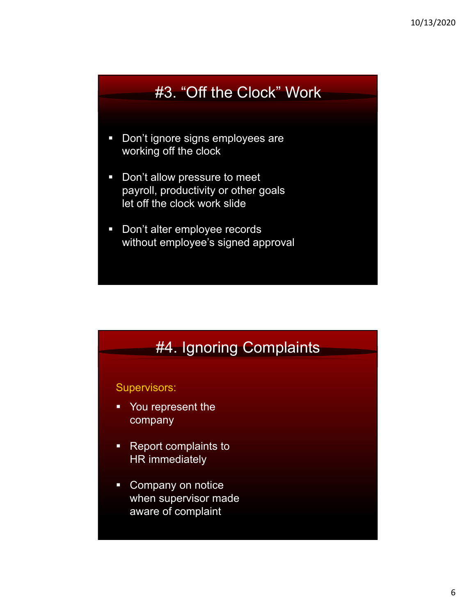### #3. "Off the Clock" Work

- **Don't ignore signs employees are** working off the clock
- **Don't allow pressure to meet** payroll, productivity or other goals let off the clock work slide
- **Don't alter employee records** without employee's signed approval

### #4. Ignoring Complaints

#### Supervisors:

- You represent the company
- Report complaints to HR immediately
- Company on notice when supervisor made aware of complaint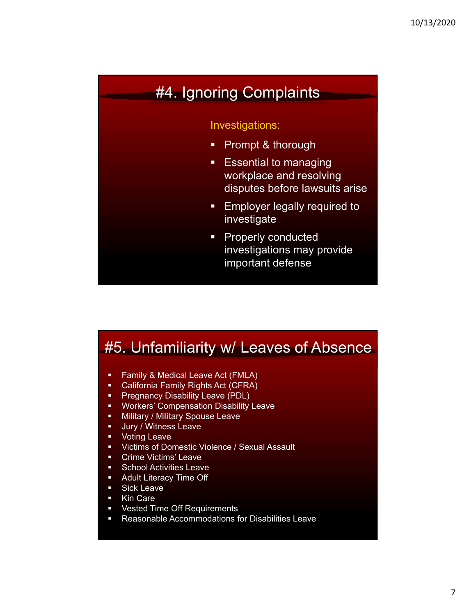### #4. Ignoring Complaints

#### Investigations:

- **Prompt & thorough**
- **Essential to managing** workplace and resolving disputes before lawsuits arise
- **Employer legally required to** investigate
- **Properly conducted** investigations may provide important defense

### #5. Unfamiliarity w/ Leaves of Absence

- **Family & Medical Leave Act (FMLA)**
- California Family Rights Act (CFRA)
- **Pregnancy Disability Leave (PDL)**
- **Workers' Compensation Disability Leave**
- **-** Military / Military Spouse Leave
- **Jury / Witness Leave**
- **•** Voting Leave
- **UCTAL STARK Violence / Sexual Assault**
- **•** Crime Victims' Leave
- **School Activities Leave**
- **Adult Literacy Time Off**
- **Sick Leave**
- Kin Care
- **Vested Time Off Requirements**
- Reasonable Accommodations for Disabilities Leave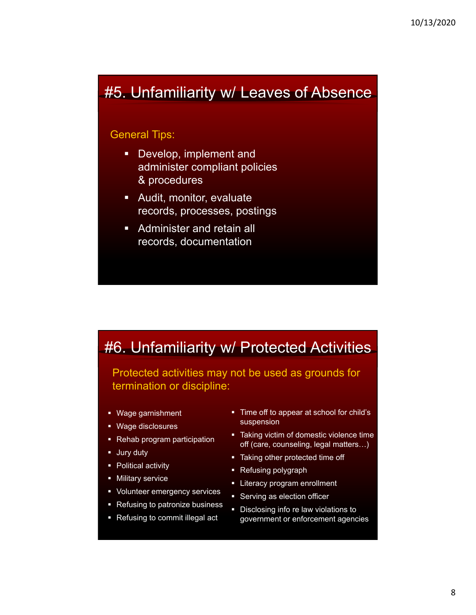### #5. Unfamiliarity w/ Leaves of Absence

#### General Tips:

- **Develop, implement and** administer compliant policies & procedures
- Audit, monitor, evaluate records, processes, postings
- **Administer and retain all** records, documentation

### #6. Unfamiliarity w/ Protected Activities

Protected activities may not be used as grounds for termination or discipline:

- Wage garnishment
- Wage disclosures
- Rehab program participation
- **Jury duty**
- Political activity
- **Military service**
- **•** Volunteer emergency services
- Refusing to patronize business
- Refusing to commit illegal act
- Time off to appear at school for child's suspension
- **Taking victim of domestic violence time** off (care, counseling, legal matters…)
- **Taking other protected time off**
- Refusing polygraph
- **EXECO EXECO EXECO EXECO EXECO** EXTERN
- **Serving as election officer**
- Disclosing info re law violations to government or enforcement agencies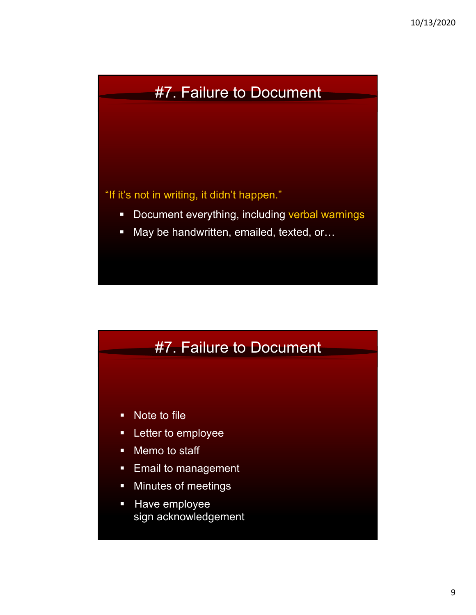## #7. Failure to Document

"If it's not in writing, it didn't happen."

- Document everything, including verbal warnings
- May be handwritten, emailed, texted, or...

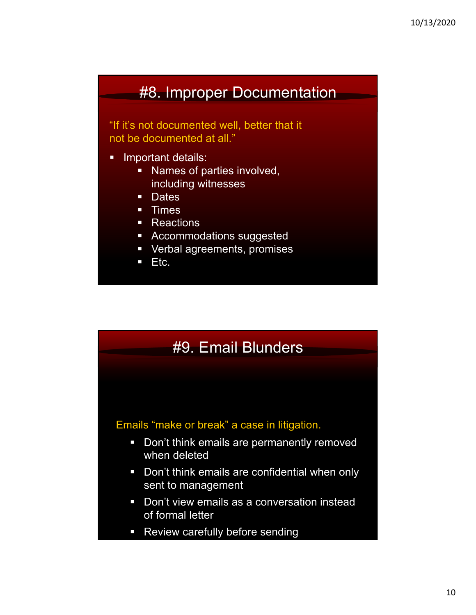### #8. Improper Documentation

"If it's not documented well, better that it not be documented at all."

- **Important details:** 
	- **Names of parties involved,** including witnesses
	- **Dates**
	- **Times**
	- Reactions
	- **-** Accommodations suggested
	- **•** Verbal agreements, promises
	- $Ectc.$

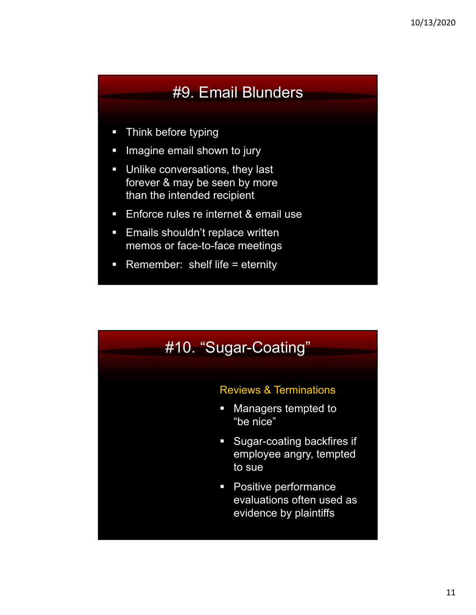## #9. Email Blunders

- **Think before typing**
- **IMagine email shown to jury**
- **Unlike conversations, they last** forever & may be seen by more than the intended recipient
- **Enforce rules re internet & email use**
- **Emails shouldn't replace written** memos or face-to-face meetings
- **Remember:** shelf life = eternity

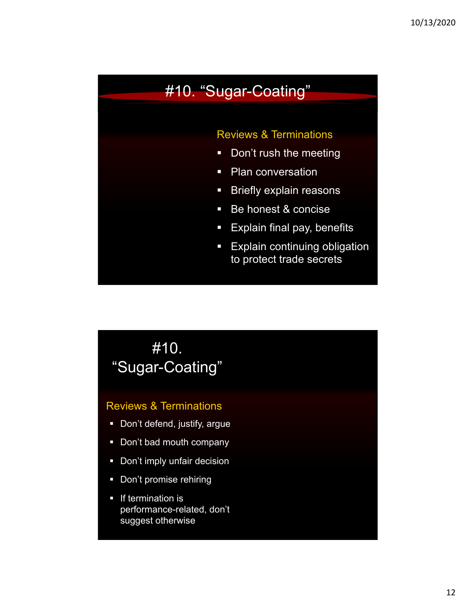### #10. "Sugar-Coating"

#### Reviews & Terminations

- **-** Don't rush the meeting
- Plan conversation
- **Briefly explain reasons**
- **Be honest & concise**
- **Explain final pay, benefits**
- **Explain continuing obligation** to protect trade secrets

## #10. "Sugar-Coating"

#### Reviews & Terminations

- **•** Don't defend, justify, argue
- Don't bad mouth company
- **Don't imply unfair decision**
- **Don't promise rehiring**
- **If termination is** performance-related, don't suggest otherwise